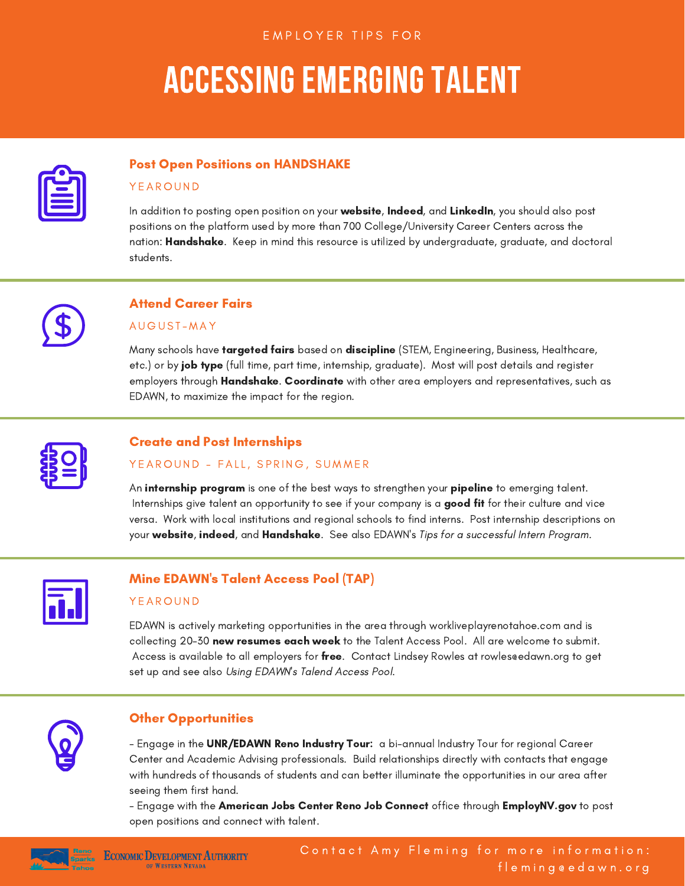# ACCESSING EMERGING TALENT

| ___                                 |  |
|-------------------------------------|--|
| the control of the control of the   |  |
| the contract of the contract of the |  |

### Post Open Positions on HANDSHAKE

#### **Y E A R O U N D**

In addition to posting open position on your website, Indeed, and LinkedIn, you should also post positions on the platform used by more than 700 College/University Career Centers across the nation: Handshake. Keep in mind this resource is utilized by undergraduate, graduate, and doctoral students.



# Attend Career Fairs

#### A U G U S T - M A Y

Many schools have targeted fairs based on discipline (STEM, Engineering, Business, Healthcare, etc.) or by **job type** (full time, part time, internship, graduate). Most will post details and register employers through Handshake. Coordinate with other area employers and representatives, such as EDAWN, to maximize the impact for the region.



## Create and Post Internships

#### YEAROUND - FALL, SPRING, SUMMER

An **internship program** is one of the best ways to strengthen your **pipeline** to emerging talent. Internships give talent an opportunity to see if your company is a good fit for their culture and vice versa. Work with local institutions and regional schools to find interns. Post internship descriptions on your website, indeed, and Handshake. See also EDAWN's Tips for a successful Intern Program.



### Mine EDAWN's Talent Access Pool (TAP)

#### **Y E A R O UND**

EDAWN is actively marketing opportunities in the area through workliveplayrenotahoe.com and is collecting 20-30 new resumes each week to the Talent Access Pool. All are welcome to submit. Access is available to all employers for free. Contact Lindsey Rowles at rowles edawn.org to get set up and see also Using EDAWN's Talend Access Pool.



# Other Opportunities

- Engage in the UNR/EDAWN Reno Industry Tour: a bi-annual Industry Tour for regional Career Center and Academic Advising professionals. Build relationships directly with contacts that engage with hundreds of thousands of students and can better illuminate the opportunities in our area after seeing them first hand.

- Engage with the American Jobs Center Reno Job Connect office through EmployNV.gov to post open positions and connect with talent.